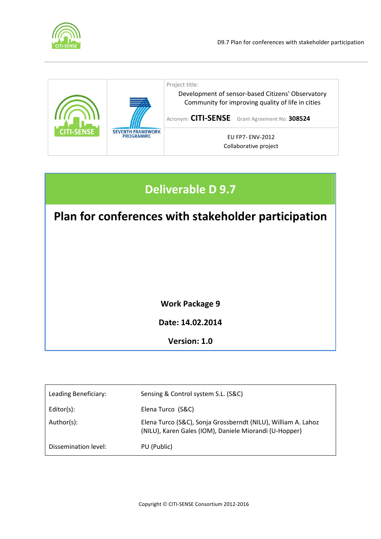



# Deliverable D 9.7

Plan for conferences with stakeholder participation

Work Package 9

Date: 14.02.2014

Version: 1.0

| Sensing & Control system S.L. (S&C)                                                                                     |
|-------------------------------------------------------------------------------------------------------------------------|
| Elena Turco (S&C)                                                                                                       |
| Elena Turco (S&C), Sonja Grossberndt (NILU), William A. Lahoz<br>(NILU), Karen Gales (IOM), Daniele Miorandi (U-Hopper) |
| PU (Public)                                                                                                             |
|                                                                                                                         |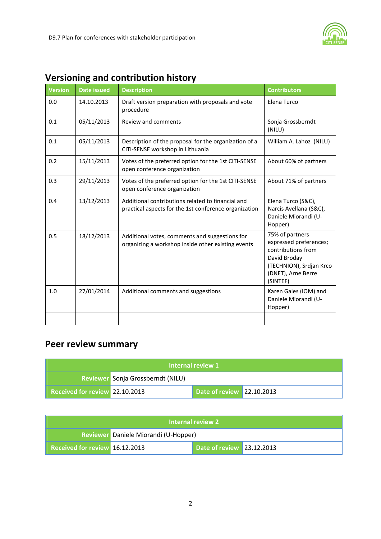

| <b>Version</b> | <b>Date issued</b> | <b>Description</b>                                                                                         | <b>Contributors</b>                                                                                                                          |
|----------------|--------------------|------------------------------------------------------------------------------------------------------------|----------------------------------------------------------------------------------------------------------------------------------------------|
| 0.0            | 14.10.2013         | Draft version preparation with proposals and vote<br>procedure                                             | Elena Turco                                                                                                                                  |
| 0.1            | 05/11/2013         | Review and comments                                                                                        | Sonja Grossberndt<br>(NILU)                                                                                                                  |
| 0.1            | 05/11/2013         | Description of the proposal for the organization of a<br>CITI-SENSE workshop in Lithuania                  | William A. Lahoz (NILU)                                                                                                                      |
| 0.2            | 15/11/2013         | Votes of the preferred option for the 1st CITI-SENSE<br>open conference organization                       | About 60% of partners                                                                                                                        |
| 0.3            | 29/11/2013         | Votes of the preferred option for the 1st CITI-SENSE<br>open conference organization                       | About 71% of partners                                                                                                                        |
| 0.4            | 13/12/2013         | Additional contributions related to financial and<br>practical aspects for the 1st conference organization | Elena Turco (S&C),<br>Narcis Avellana (S&C),<br>Daniele Miorandi (U-<br>Hopper)                                                              |
| 0.5            | 18/12/2013         | Additional votes, comments and suggestions for<br>organizing a workshop inside other existing events       | 75% of partners<br>expressed preferences;<br>contributions from<br>David Broday<br>(TECHNION), Srdjan Krco<br>(DNET), Arne Berre<br>(SINTEF) |
| 1.0            | 27/01/2014         | Additional comments and suggestions                                                                        | Karen Gales (IOM) and<br>Daniele Miorandi (U-<br>Hopper)                                                                                     |
|                |                    |                                                                                                            |                                                                                                                                              |

### Versioning and contribution history

## Peer review summary

| Internal review 1                 |  |                           |  |  |
|-----------------------------------|--|---------------------------|--|--|
| Reviewer Sonja Grossberndt (NILU) |  |                           |  |  |
| Received for review 22.10.2013    |  | Date of review 22.10.2013 |  |  |

| <b>Internal review 2</b>             |  |                           |  |  |
|--------------------------------------|--|---------------------------|--|--|
| Reviewer Daniele Miorandi (U-Hopper) |  |                           |  |  |
| Received for review 16.12.2013       |  | Date of review 23.12.2013 |  |  |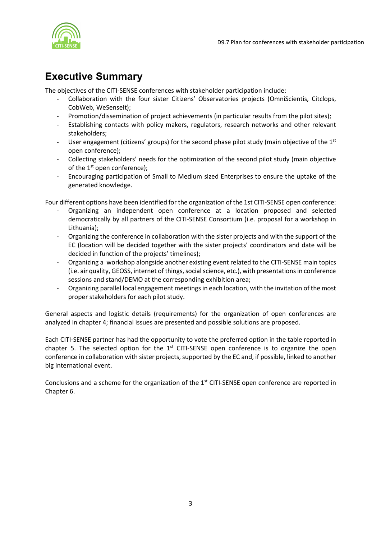

## Executive Summary

The objectives of the CITI-SENSE conferences with stakeholder participation include:

- Collaboration with the four sister Citizens' Observatories projects (OmniScientis, Citclops, CobWeb, WeSenseIt);
- Promotion/dissemination of project achievements (in particular results from the pilot sites);
- Establishing contacts with policy makers, regulators, research networks and other relevant stakeholders;
- User engagement (citizens' groups) for the second phase pilot study (main objective of the  $1<sup>st</sup>$ open conference);
- Collecting stakeholders' needs for the optimization of the second pilot study (main objective of the  $1<sup>st</sup>$  open conference);
- Encouraging participation of Small to Medium sized Enterprises to ensure the uptake of the generated knowledge.

Four different options have been identified for the organization of the 1st CITI-SENSE open conference:

- Organizing an independent open conference at a location proposed and selected democratically by all partners of the CITI-SENSE Consortium (i.e. proposal for a workshop in Lithuania);
- Organizing the conference in collaboration with the sister projects and with the support of the EC (location will be decided together with the sister projects' coordinators and date will be decided in function of the projects' timelines);
- Organizing a workshop alongside another existing event related to the CITI-SENSE main topics (i.e. air quality, GEOSS, internet of things, social science, etc.), with presentations in conference sessions and stand/DEMO at the corresponding exhibition area;
- Organizing parallel local engagement meetings in each location, with the invitation of the most proper stakeholders for each pilot study.

General aspects and logistic details (requirements) for the organization of open conferences are analyzed in chapter 4; financial issues are presented and possible solutions are proposed.

Each CITI-SENSE partner has had the opportunity to vote the preferred option in the table reported in chapter 5. The selected option for the  $1<sup>st</sup>$  CITI-SENSE open conference is to organize the open conference in collaboration with sister projects, supported by the EC and, if possible, linked to another big international event.

Conclusions and a scheme for the organization of the  $1<sup>st</sup>$  CITI-SENSE open conference are reported in Chapter 6.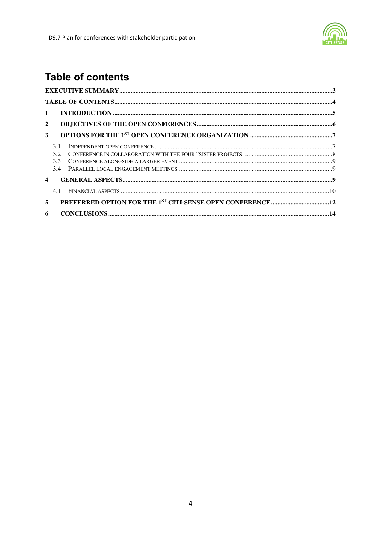

## **Table of contents**

| $\mathbf{1}$          |                   |  |
|-----------------------|-------------------|--|
| $\mathbf{2}$          |                   |  |
| 3 <sup>1</sup>        |                   |  |
|                       | 3.1<br>3.2<br>3.3 |  |
| $\boldsymbol{\Delta}$ |                   |  |
|                       | 41                |  |
| 5                     |                   |  |
| 6                     |                   |  |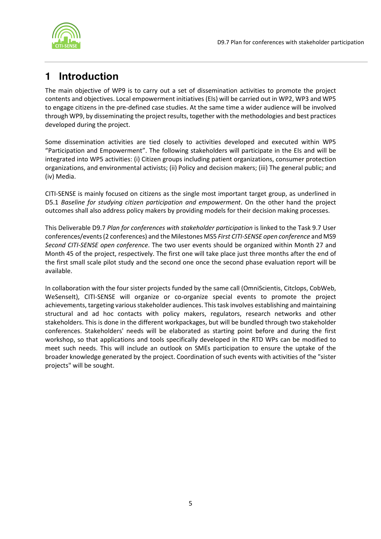

## **1** Introduction

The main objective of WP9 is to carry out a set of dissemination activities to promote the project contents and objectives. Local empowerment initiatives (EIs) will be carried out in WP2, WP3 and WP5 to engage citizens in the pre-defined case studies. At the same time a wider audience will be involved through WP9, by disseminating the project results, together with the methodologies and best practices developed during the project.

Some dissemination activities are tied closely to activities developed and executed within WP5 "Participation and Empowerment". The following stakeholders will participate in the EIs and will be integrated into WP5 activities: (i) Citizen groups including patient organizations, consumer protection organizations, and environmental activists; (ii) Policy and decision makers; (iii) The general public; and (iv) Media.

CITI-SENSE is mainly focused on citizens as the single most important target group, as underlined in D5.1 Baseline for studying citizen participation and empowerment. On the other hand the project outcomes shall also address policy makers by providing models for their decision making processes.

This Deliverable D9.7 Plan for conferences with stakeholder participation is linked to the Task 9.7 User conferences/events (2 conferences) and the Milestones MS5 First CITI-SENSE open conference and MS9 Second CITI-SENSE open conference. The two user events should be organized within Month 27 and Month 45 of the project, respectively. The first one will take place just three months after the end of the first small scale pilot study and the second one once the second phase evaluation report will be available.

In collaboration with the four sister projects funded by the same call (OmniScientis, Citclops, CobWeb, WeSenseIt), CITI-SENSE will organize or co-organize special events to promote the project achievements, targeting various stakeholder audiences. This task involves establishing and maintaining structural and ad hoc contacts with policy makers, regulators, research networks and other stakeholders. This is done in the different workpackages, but will be bundled through two stakeholder conferences. Stakeholders' needs will be elaborated as starting point before and during the first workshop, so that applications and tools specifically developed in the RTD WPs can be modified to meet such needs. This will include an outlook on SMEs participation to ensure the uptake of the broader knowledge generated by the project. Coordination of such events with activities of the "sister projects" will be sought.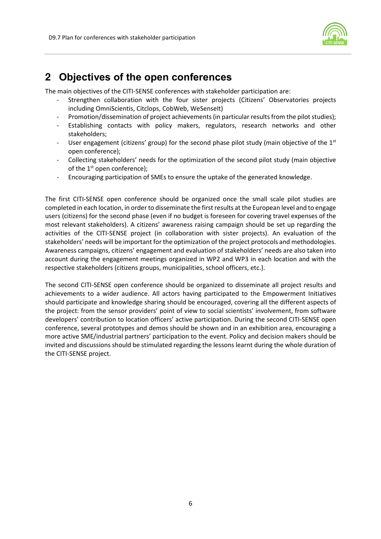

### **2** Objectives of the open conferences

The main objectives of the CITI-SENSE conferences with stakeholder participation are:

- Strengthen collaboration with the four sister projects (Citizens' Observatories projects including OmniScientis, Citclops, CobWeb, WeSenseIt)
- Promotion/dissemination of project achievements (in particular results from the pilot studies);
- Establishing contacts with policy makers, regulators, research networks and other stakeholders;
- User engagement (citizens' group) for the second phase pilot study (main objective of the  $1<sup>st</sup>$ open conference);
- Collecting stakeholders' needs for the optimization of the second pilot study (main objective of the  $1<sup>st</sup>$  open conference);
- Encouraging participation of SMEs to ensure the uptake of the generated knowledge.

The first CITI-SENSE open conference should be organized once the small scale pilot studies are completed in each location, in order to disseminate the first results at the European level and to engage users (citizens) for the second phase (even if no budget is foreseen for covering travel expenses of the most relevant stakeholders). A citizens' awareness raising campaign should be set up regarding the activities of the CITI-SENSE project (in collaboration with sister projects). An evaluation of the stakeholders' needs will be important for the optimization of the project protocols and methodologies. Awareness campaigns, citizens' engagement and evaluation of stakeholders' needs are also taken into account during the engagement meetings organized in WP2 and WP3 in each location and with the respective stakeholders (citizens groups, municipalities, school officers, etc.).

The second CITI-SENSE open conference should be organized to disseminate all project results and achievements to a wider audience. All actors having participated to the Empowerment Initiatives should participate and knowledge sharing should be encouraged, covering all the different aspects of the project: from the sensor providers' point of view to social scientists' involvement, from software developers' contribution to location officers' active participation. During the second CITI-SENSE open conference, several prototypes and demos should be shown and in an exhibition area, encouraging a more active SME/industrial partners' participation to the event. Policy and decision makers should be invited and discussions should be stimulated regarding the lessons learnt during the whole duration of the CITI-SENSE project.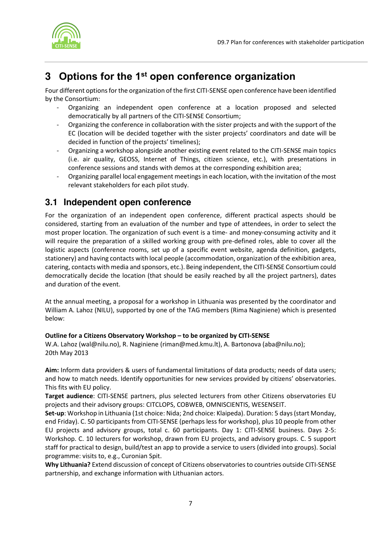

## **3** Options for the 1st open conference organization

Four different options for the organization of the first CITI-SENSE open conference have been identified by the Consortium:

- Organizing an independent open conference at a location proposed and selected democratically by all partners of the CITI-SENSE Consortium;
- Organizing the conference in collaboration with the sister projects and with the support of the EC (location will be decided together with the sister projects' coordinators and date will be decided in function of the projects' timelines);
- Organizing a workshop alongside another existing event related to the CITI-SENSE main topics (i.e. air quality, GEOSS, Internet of Things, citizen science, etc.), with presentations in conference sessions and stands with demos at the corresponding exhibition area;
- Organizing parallel local engagement meetings in each location, with the invitation of the most relevant stakeholders for each pilot study.

### **3.1 Independent open conference**

For the organization of an independent open conference, different practical aspects should be considered, starting from an evaluation of the number and type of attendees, in order to select the most proper location. The organization of such event is a time- and money-consuming activity and it will require the preparation of a skilled working group with pre-defined roles, able to cover all the logistic aspects (conference rooms, set up of a specific event website, agenda definition, gadgets, stationery) and having contacts with local people (accommodation, organization of the exhibition area, catering, contacts with media and sponsors, etc.). Being independent, the CITI-SENSE Consortium could democratically decide the location (that should be easily reached by all the project partners), dates and duration of the event.

At the annual meeting, a proposal for a workshop in Lithuania was presented by the coordinator and William A. Lahoz (NILU), supported by one of the TAG members (Rima Naginiene) which is presented below:

#### Outline for a Citizens Observatory Workshop – to be organized by CITI-SENSE

W.A. Lahoz (wal@nilu.no), R. Naginiene (riman@med.kmu.lt), A. Bartonova (aba@nilu.no); 20th May 2013

Aim: Inform data providers & users of fundamental limitations of data products; needs of data users; and how to match needs. Identify opportunities for new services provided by citizens' observatories. This fits with EU policy.

Target audience: CITI-SENSE partners, plus selected lecturers from other Citizens observatories EU projects and their advisory groups: CITCLOPS, COBWEB, OMNISCIENTIS, WESENSEIT.

Set-up: Workshop in Lithuania (1st choice: Nida; 2nd choice: Klaipeda). Duration: 5 days (start Monday, end Friday). C. 50 participants from CITI-SENSE (perhaps less for workshop), plus 10 people from other EU projects and advisory groups, total c. 60 participants. Day 1: CITI-SENSE business. Days 2-5: Workshop. C. 10 lecturers for workshop, drawn from EU projects, and advisory groups. C. 5 support staff for practical to design, build/test an app to provide a service to users (divided into groups). Social programme: visits to, e.g., Curonian Spit.

Why Lithuania? Extend discussion of concept of Citizens observatories to countries outside CITI-SENSE partnership, and exchange information with Lithuanian actors.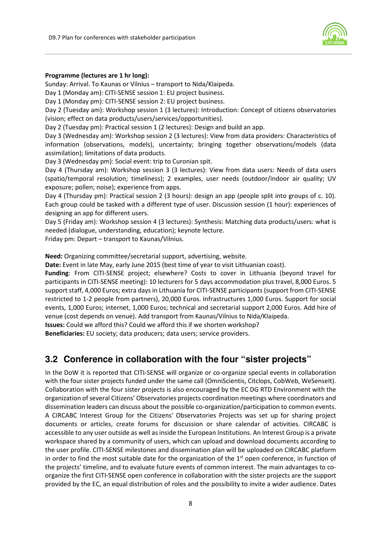

#### Programme (lectures are 1 hr long):

Sunday: Arrival. To Kaunas or Vilnius – transport to Nida/Klaipeda.

Day 1 (Monday am): CITI-SENSE session 1: EU project business.

Day 1 (Monday pm): CITI-SENSE session 2: EU project business.

Day 2 (Tuesday am): Workshop session 1 (3 lectures): Introduction: Concept of citizens observatories (vision; effect on data products/users/services/opportunities).

Day 2 (Tuesday pm): Practical session 1 (2 lectures): Design and build an app.

Day 3 (Wednesday am): Workshop session 2 (3 lectures): View from data providers: Characteristics of information (observations, models), uncertainty; bringing together observations/models (data assimilation); limitations of data products.

Day 3 (Wednesday pm): Social event: trip to Curonian spit.

Day 4 (Thursday am): Workshop session 3 (3 lectures): View from data users: Needs of data users (spatio/temporal resolution; timeliness); 2 examples, user needs (outdoor/indoor air quality; UV exposure; pollen; noise); experience from apps.

Day 4 (Thursday pm): Practical session 2 (3 hours): design an app (people split into groups of c. 10). Each group could be tasked with a different type of user. Discussion session (1 hour): experiences of designing an app for different users.

Day 5 (Friday am): Workshop session 4 (3 lectures): Synthesis: Matching data products/users: what is needed (dialogue, understanding, education); keynote lecture.

Friday pm: Depart – transport to Kaunas/Vilnius.

Need: Organizing committee/secretarial support, advertising, website.

Date: Event in late May, early June 2015 (best time of year to visit Lithuanian coast).

Funding: From CITI-SENSE project; elsewhere? Costs to cover in Lithuania (beyond travel for participants in CITI-SENSE meeting): 10 lecturers for 5 days accommodation plus travel, 8,000 Euros. 5 support staff, 4,000 Euros; extra days in Lithuania for CITI-SENSE participants (support from CITI-SENSE restricted to 1-2 people from partners), 20,000 Euros. Infrastructures 1,000 Euros. Support for social events, 1,000 Euros; internet, 1,000 Euros; technical and secretarial support 2,000 Euros. Add hire of venue (cost depends on venue). Add transport from Kaunas/Vilnius to Nida/Klaipeda.

Issues: Could we afford this? Could we afford this if we shorten workshop?

Beneficiaries: EU society; data producers; data users; service providers.

### **3.2 Conference in collaboration with the four "sister projects"**

In the DoW it is reported that CITI-SENSE will organize or co-organize special events in collaboration with the four sister projects funded under the same call (OmniScientis, Citclops, CobWeb, WeSenseIt). Collaboration with the four sister projects is also encouraged by the EC DG RTD Environment with the organization of several Citizens' Observatories projects coordination meetings where coordinators and dissemination leaders can discuss about the possible co-organization/participation to common events. A CIRCABC Interest Group for the Citizens' Observatories Projects was set up for sharing project documents or articles, create forums for discussion or share calendar of activities. CIRCABC is accessible to any user outside as well as inside the European Institutions. An Interest Group is a private workspace shared by a community of users, which can upload and download documents according to the user profile. CITI-SENSE milestones and dissemination plan will be uploaded on CIRCABC platform in order to find the most suitable date for the organization of the  $1<sup>st</sup>$  open conference, in function of the projects' timeline, and to evaluate future events of common interest. The main advantages to coorganize the first CITI-SENSE open conference in collaboration with the sister projects are the support provided by the EC, an equal distribution of roles and the possibility to invite a wider audience. Dates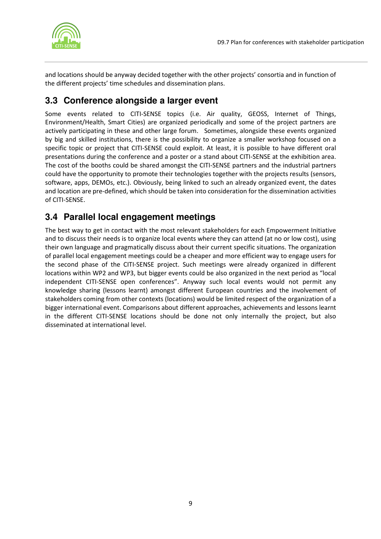

and locations should be anyway decided together with the other projects' consortia and in function of the different projects' time schedules and dissemination plans.

### **3.3 Conference alongside a larger event**

Some events related to CITI-SENSE topics (i.e. Air quality, GEOSS, Internet of Things, Environment/Health, Smart Cities) are organized periodically and some of the project partners are actively participating in these and other large forum. Sometimes, alongside these events organized by big and skilled institutions, there is the possibility to organize a smaller workshop focused on a specific topic or project that CITI-SENSE could exploit. At least, it is possible to have different oral presentations during the conference and a poster or a stand about CITI-SENSE at the exhibition area. The cost of the booths could be shared amongst the CITI-SENSE partners and the industrial partners could have the opportunity to promote their technologies together with the projects results (sensors, software, apps, DEMOs, etc.). Obviously, being linked to such an already organized event, the dates and location are pre-defined, which should be taken into consideration for the dissemination activities of CITI-SENSE.

### **3.4 Parallel local engagement meetings**

The best way to get in contact with the most relevant stakeholders for each Empowerment Initiative and to discuss their needs is to organize local events where they can attend (at no or low cost), using their own language and pragmatically discuss about their current specific situations. The organization of parallel local engagement meetings could be a cheaper and more efficient way to engage users for the second phase of the CITI-SENSE project. Such meetings were already organized in different locations within WP2 and WP3, but bigger events could be also organized in the next period as "local independent CITI-SENSE open conferences". Anyway such local events would not permit any knowledge sharing (lessons learnt) amongst different European countries and the involvement of stakeholders coming from other contexts (locations) would be limited respect of the organization of a bigger international event. Comparisons about different approaches, achievements and lessons learnt in the different CITI-SENSE locations should be done not only internally the project, but also disseminated at international level.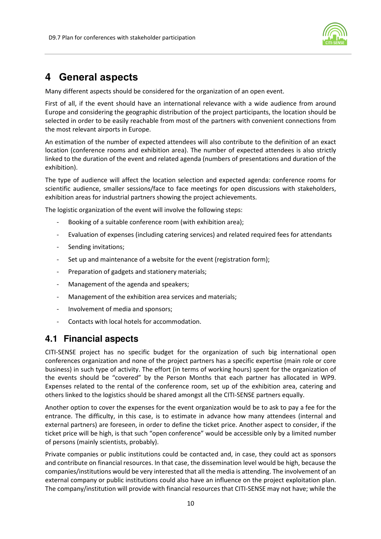

### **4** General aspects

Many different aspects should be considered for the organization of an open event.

First of all, if the event should have an international relevance with a wide audience from around Europe and considering the geographic distribution of the project participants, the location should be selected in order to be easily reachable from most of the partners with convenient connections from the most relevant airports in Europe.

An estimation of the number of expected attendees will also contribute to the definition of an exact location (conference rooms and exhibition area). The number of expected attendees is also strictly linked to the duration of the event and related agenda (numbers of presentations and duration of the exhibition).

The type of audience will affect the location selection and expected agenda: conference rooms for scientific audience, smaller sessions/face to face meetings for open discussions with stakeholders, exhibition areas for industrial partners showing the project achievements.

The logistic organization of the event will involve the following steps:

- Booking of a suitable conference room (with exhibition area);
- Evaluation of expenses (including catering services) and related required fees for attendants
- Sending invitations;
- Set up and maintenance of a website for the event (registration form);
- Preparation of gadgets and stationery materials;
- Management of the agenda and speakers;
- Management of the exhibition area services and materials;
- Involvement of media and sponsors;
- Contacts with local hotels for accommodation.

### **4.1 Financial aspects**

CITI-SENSE project has no specific budget for the organization of such big international open conferences organization and none of the project partners has a specific expertise (main role or core business) in such type of activity. The effort (in terms of working hours) spent for the organization of the events should be "covered" by the Person Months that each partner has allocated in WP9. Expenses related to the rental of the conference room, set up of the exhibition area, catering and others linked to the logistics should be shared amongst all the CITI-SENSE partners equally.

Another option to cover the expenses for the event organization would be to ask to pay a fee for the entrance. The difficulty, in this case, is to estimate in advance how many attendees (internal and external partners) are foreseen, in order to define the ticket price. Another aspect to consider, if the ticket price will be high, is that such "open conference" would be accessible only by a limited number of persons (mainly scientists, probably).

Private companies or public institutions could be contacted and, in case, they could act as sponsors and contribute on financial resources. In that case, the dissemination level would be high, because the companies/institutions would be very interested that all the media is attending. The involvement of an external company or public institutions could also have an influence on the project exploitation plan. The company/institution will provide with financial resources that CITI-SENSE may not have; while the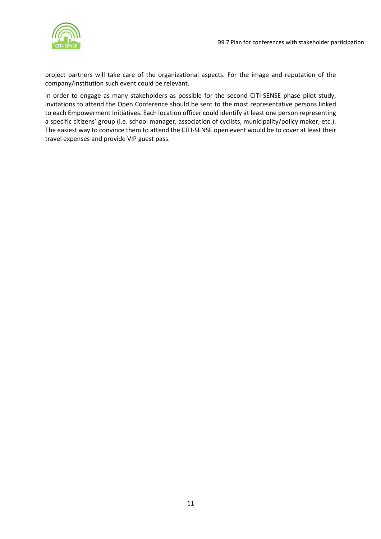

project partners will take care of the organizational aspects. For the image and reputation of the company/institution such event could be relevant.

In order to engage as many stakeholders as possible for the second CITI-SENSE phase pilot study, invitations to attend the Open Conference should be sent to the most representative persons linked to each Empowerment Initiatives. Each location officer could identify at least one person representing a specific citizens' group (i.e. school manager, association of cyclists, municipality/policy maker, etc.). The easiest way to convince them to attend the CITI-SENSE open event would be to cover at least their travel expenses and provide VIP guest pass.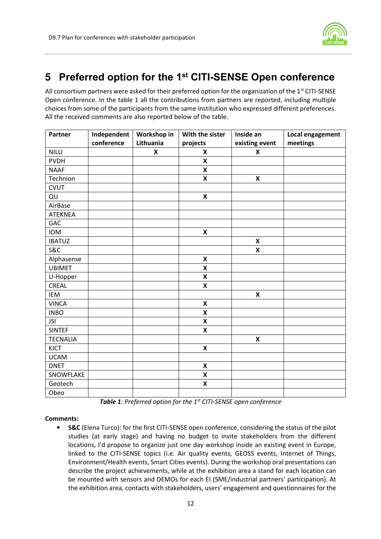

## **5** Preferred option for the 1st CITI-SENSE Open conference

All consortium partners were asked for their preferred option for the organization of the 1<sup>st</sup> CITI-SENSE Open conference. In the table 1 all the contributions from partners are reported, including multiple choices from some of the participants from the same institution who expressed different preferences. All the received comments are also reported below of the table.

| Partner         | Independent<br>conference | Workshop in<br>Lithuania | With the sister           | Inside an                                   | Local engagement<br>meetings |
|-----------------|---------------------------|--------------------------|---------------------------|---------------------------------------------|------------------------------|
| <b>NILU</b>     |                           | X                        | projects<br>$\mathbf x$   | existing event<br>$\boldsymbol{\mathsf{x}}$ |                              |
|                 |                           |                          |                           |                                             |                              |
| <b>PVDH</b>     |                           |                          | $\boldsymbol{\mathsf{x}}$ |                                             |                              |
| <b>NAAF</b>     |                           |                          | $\pmb{\mathsf{X}}$        |                                             |                              |
| Technion        |                           |                          | $\pmb{\mathsf{X}}$        | $\pmb{\mathsf{X}}$                          |                              |
| <b>CVUT</b>     |                           |                          |                           |                                             |                              |
| QU              |                           |                          | $\pmb{\mathsf{X}}$        |                                             |                              |
| AirBase         |                           |                          |                           |                                             |                              |
| <b>ATEKNEA</b>  |                           |                          |                           |                                             |                              |
| GAC             |                           |                          |                           |                                             |                              |
| <b>IOM</b>      |                           |                          | $\pmb{\mathsf{X}}$        |                                             |                              |
| <b>IBATUZ</b>   |                           |                          |                           | $\pmb{\mathsf{X}}$                          |                              |
| <b>S&amp;C</b>  |                           |                          |                           | $\boldsymbol{\mathsf{x}}$                   |                              |
| Alphasense      |                           |                          | X                         |                                             |                              |
| <b>UBIMET</b>   |                           |                          | X                         |                                             |                              |
| U-Hopper        |                           |                          | $\mathsf{X}$              |                                             |                              |
| <b>CREAL</b>    |                           |                          | X                         |                                             |                              |
| IEM             |                           |                          |                           | $\boldsymbol{\mathsf{x}}$                   |                              |
| <b>VINCA</b>    |                           |                          | $\boldsymbol{\mathsf{X}}$ |                                             |                              |
| <b>INBO</b>     |                           |                          | X                         |                                             |                              |
| <b>JSI</b>      |                           |                          | $\boldsymbol{\mathsf{X}}$ |                                             |                              |
| <b>SINTEF</b>   |                           |                          | X                         |                                             |                              |
| <b>TECNALIA</b> |                           |                          |                           | $\boldsymbol{\mathsf{x}}$                   |                              |
| KICT            |                           |                          | $\boldsymbol{\mathsf{x}}$ |                                             |                              |
| <b>UCAM</b>     |                           |                          |                           |                                             |                              |
| <b>DNET</b>     |                           |                          | $\pmb{\mathsf{X}}$        |                                             |                              |
| SNOWFLAKE       |                           |                          | $\pmb{\mathsf{X}}$        |                                             |                              |
| Geotech         |                           |                          | $\mathsf{X}$              |                                             |                              |
| Obeo            |                           |                          |                           |                                             |                              |

Table 1: Preferred option for the 1<sup>st</sup> CITI-SENSE open conference

#### Comments:

• S&C (Elena Turco): for the first CITI-SENSE open conference, considering the status of the pilot studies (at early stage) and having no budget to invite stakeholders from the different locations, I'd propose to organize just one day workshop inside an existing event in Europe, linked to the CITI-SENSE topics (i.e. Air quality events, GEOSS events, Internet of Things, Environment/Health events, Smart Cities events). During the workshop oral presentations can describe the project achievements, while at the exhibition area a stand for each location can be mounted with sensors and DEMOs for each EI (SME/industrial partners' participation). At the exhibition area, contacts with stakeholders, users' engagement and questionnaires for the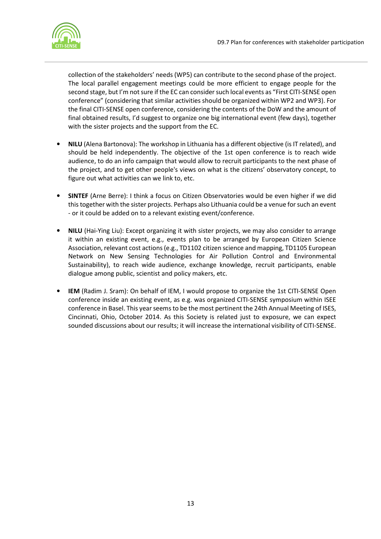

collection of the stakeholders' needs (WP5) can contribute to the second phase of the project. The local parallel engagement meetings could be more efficient to engage people for the second stage, but I'm not sure if the EC can consider such local events as "First CITI-SENSE open conference" (considering that similar activities should be organized within WP2 and WP3). For the final CITI-SENSE open conference, considering the contents of the DoW and the amount of final obtained results, I'd suggest to organize one big international event (few days), together with the sister projects and the support from the EC.

- NILU (Alena Bartonova): The workshop in Lithuania has a different objective (is IT related), and should be held independently. The objective of the 1st open conference is to reach wide audience, to do an info campaign that would allow to recruit participants to the next phase of the project, and to get other people's views on what is the citizens' observatory concept, to figure out what activities can we link to, etc.
- SINTEF (Arne Berre): I think a focus on Citizen Observatories would be even higher if we did this together with the sister projects. Perhaps also Lithuania could be a venue for such an event - or it could be added on to a relevant existing event/conference.
- NILU (Hai-Ying Liu): Except organizing it with sister projects, we may also consider to arrange it within an existing event, e.g., events plan to be arranged by European Citizen Science Association, relevant cost actions (e.g., TD1102 citizen science and mapping, TD1105 European Network on New Sensing Technologies for Air Pollution Control and Environmental Sustainability), to reach wide audience, exchange knowledge, recruit participants, enable dialogue among public, scientist and policy makers, etc.
- IEM (Radim J. Sram): On behalf of IEM, I would propose to organize the 1st CITI-SENSE Open conference inside an existing event, as e.g. was organized CITI-SENSE symposium within ISEE conference in Basel. This year seems to be the most pertinent the 24th Annual Meeting of ISES, Cincinnati, Ohio, October 2014. As this Society is related just to exposure, we can expect sounded discussions about our results; it will increase the international visibility of CITI-SENSE.